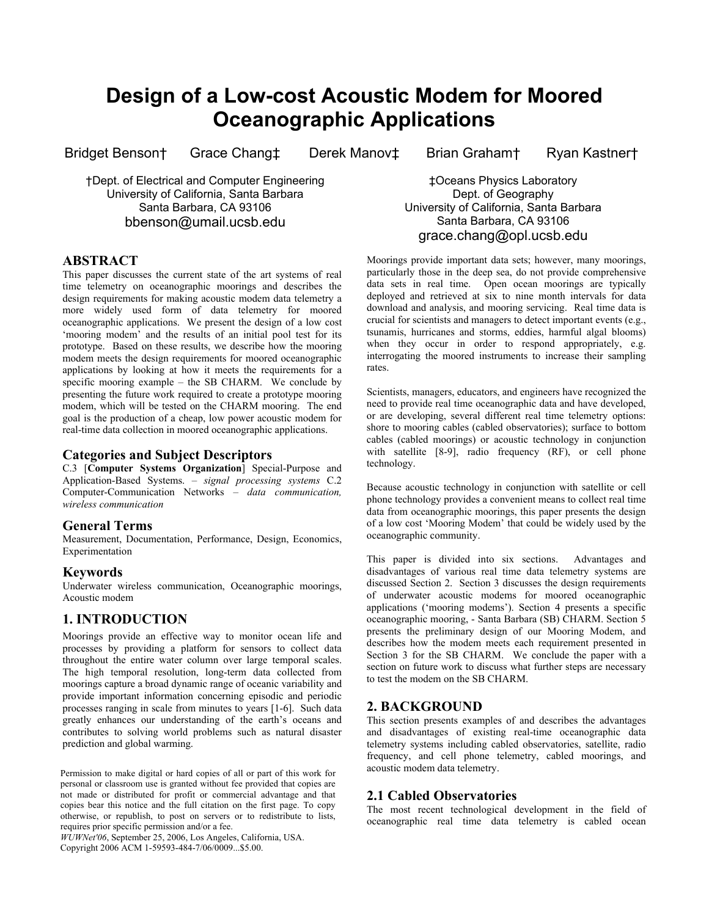# **Design of a Low-cost Acoustic Modem for Moored Oceanographic Applications**

†Dept. of Electrical and Computer Engineering University of California, Santa Barbara Santa Barbara, CA 93106 bbenson@umail.ucsb.edu

## **ABSTRACT**

This paper discusses the current state of the art systems of real time telemetry on oceanographic moorings and describes the design requirements for making acoustic modem data telemetry a more widely used form of data telemetry for moored oceanographic applications. We present the design of a low cost 'mooring modem' and the results of an initial pool test for its prototype. Based on these results, we describe how the mooring modem meets the design requirements for moored oceanographic applications by looking at how it meets the requirements for a specific mooring example – the SB CHARM. We conclude by presenting the future work required to create a prototype mooring modem, which will be tested on the CHARM mooring. The end goal is the production of a cheap, low power acoustic modem for real-time data collection in moored oceanographic applications.

## **Categories and Subject Descriptors**

C.3 [**Computer Systems Organization**] Special-Purpose and Application-Based Systems. – *signal processing systems* C.2 Computer-Communication Networks – *data communication, wireless communication*

#### **General Terms**

Measurement, Documentation, Performance, Design, Economics, Experimentation

#### **Keywords**

Underwater wireless communication, Oceanographic moorings, Acoustic modem

## **1. INTRODUCTION**

Moorings provide an effective way to monitor ocean life and processes by providing a platform for sensors to collect data throughout the entire water column over large temporal scales. The high temporal resolution, long-term data collected from moorings capture a broad dynamic range of oceanic variability and provide important information concerning episodic and periodic processes ranging in scale from minutes to years [1-6]. Such data greatly enhances our understanding of the earth's oceans and contributes to solving world problems such as natural disaster prediction and global warming.

Permission to make digital or hard copies of all or part of this work for personal or classroom use is granted without fee provided that copies are not made or distributed for profit or commercial advantage and that copies bear this notice and the full citation on the first page. To copy otherwise, or republish, to post on servers or to redistribute to lists, requires prior specific permission and/or a fee.

*WUWNet'06*, September 25, 2006, Los Angeles, California, USA. Copyright 2006 ACM 1-59593-484-7/06/0009...\$5.00.

Bridget Benson† Grace Chang‡ Derek Manov‡ Brian Graham† Ryan Kastner†

‡Oceans Physics Laboratory Dept. of Geography University of California, Santa Barbara Santa Barbara, CA 93106 grace.chang@opl.ucsb.edu

Moorings provide important data sets; however, many moorings, particularly those in the deep sea, do not provide comprehensive data sets in real time. Open ocean moorings are typically deployed and retrieved at six to nine month intervals for data download and analysis, and mooring servicing. Real time data is crucial for scientists and managers to detect important events (e.g., tsunamis, hurricanes and storms, eddies, harmful algal blooms) when they occur in order to respond appropriately, e.g. interrogating the moored instruments to increase their sampling rates.

Scientists, managers, educators, and engineers have recognized the need to provide real time oceanographic data and have developed, or are developing, several different real time telemetry options: shore to mooring cables (cabled observatories); surface to bottom cables (cabled moorings) or acoustic technology in conjunction with satellite [8-9], radio frequency (RF), or cell phone technology.

Because acoustic technology in conjunction with satellite or cell phone technology provides a convenient means to collect real time data from oceanographic moorings, this paper presents the design of a low cost 'Mooring Modem' that could be widely used by the oceanographic community.

This paper is divided into six sections. Advantages and disadvantages of various real time data telemetry systems are discussed Section 2. Section 3 discusses the design requirements of underwater acoustic modems for moored oceanographic applications ('mooring modems'). Section 4 presents a specific oceanographic mooring, - Santa Barbara (SB) CHARM. Section 5 presents the preliminary design of our Mooring Modem, and describes how the modem meets each requirement presented in Section 3 for the SB CHARM. We conclude the paper with a section on future work to discuss what further steps are necessary to test the modem on the SB CHARM.

## **2. BACKGROUND**

This section presents examples of and describes the advantages and disadvantages of existing real-time oceanographic data telemetry systems including cabled observatories, satellite, radio frequency, and cell phone telemetry, cabled moorings, and acoustic modem data telemetry.

#### **2.1 Cabled Observatories**

The most recent technological development in the field of oceanographic real time data telemetry is cabled ocean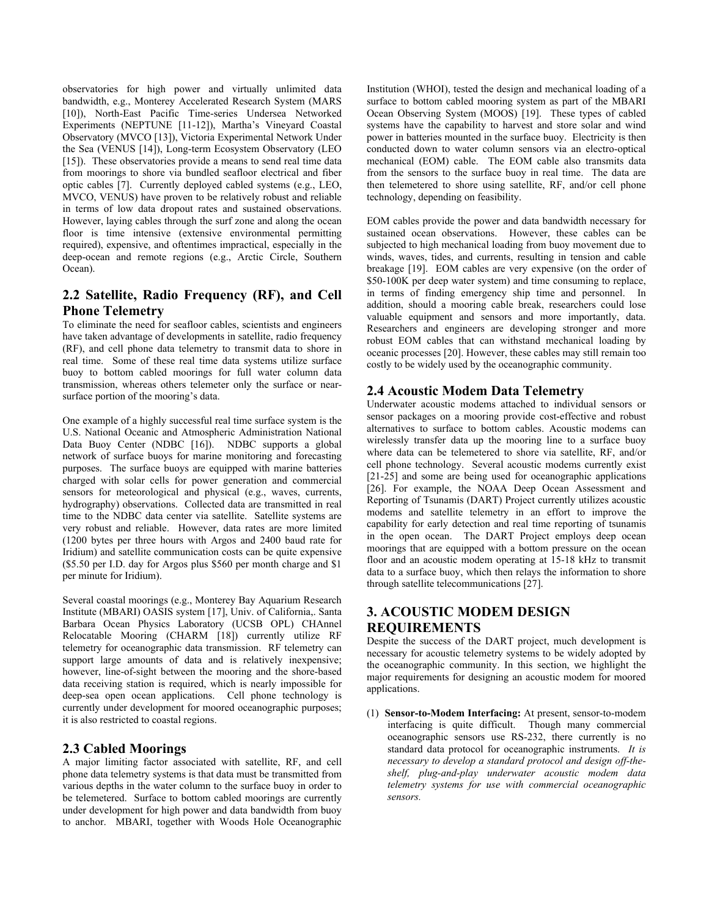observatories for high power and virtually unlimited data bandwidth, e.g., Monterey Accelerated Research System (MARS [10]), North-East Pacific Time-series Undersea Networked Experiments (NEPTUNE [11-12]), Martha's Vineyard Coastal Observatory (MVCO [13]), Victoria Experimental Network Under the Sea (VENUS [14]), Long-term Ecosystem Observatory (LEO [15]). These observatories provide a means to send real time data from moorings to shore via bundled seafloor electrical and fiber optic cables [7]. Currently deployed cabled systems (e.g., LEO, MVCO, VENUS) have proven to be relatively robust and reliable in terms of low data dropout rates and sustained observations. However, laying cables through the surf zone and along the ocean floor is time intensive (extensive environmental permitting required), expensive, and oftentimes impractical, especially in the deep-ocean and remote regions (e.g., Arctic Circle, Southern Ocean).

# **2.2 Satellite, Radio Frequency (RF), and Cell Phone Telemetry**

To eliminate the need for seafloor cables, scientists and engineers have taken advantage of developments in satellite, radio frequency (RF), and cell phone data telemetry to transmit data to shore in real time. Some of these real time data systems utilize surface buoy to bottom cabled moorings for full water column data transmission, whereas others telemeter only the surface or nearsurface portion of the mooring's data.

One example of a highly successful real time surface system is the U.S. National Oceanic and Atmospheric Administration National Data Buoy Center (NDBC [16]). NDBC supports a global network of surface buoys for marine monitoring and forecasting purposes. The surface buoys are equipped with marine batteries charged with solar cells for power generation and commercial sensors for meteorological and physical (e.g., waves, currents, hydrography) observations. Collected data are transmitted in real time to the NDBC data center via satellite. Satellite systems are very robust and reliable. However, data rates are more limited (1200 bytes per three hours with Argos and 2400 baud rate for Iridium) and satellite communication costs can be quite expensive (\$5.50 per I.D. day for Argos plus \$560 per month charge and \$1 per minute for Iridium).

Several coastal moorings (e.g., Monterey Bay Aquarium Research Institute (MBARI) OASIS system [17], Univ. of California,. Santa Barbara Ocean Physics Laboratory (UCSB OPL) CHAnnel Relocatable Mooring (CHARM [18]) currently utilize RF telemetry for oceanographic data transmission. RF telemetry can support large amounts of data and is relatively inexpensive; however, line-of-sight between the mooring and the shore-based data receiving station is required, which is nearly impossible for deep-sea open ocean applications. Cell phone technology is currently under development for moored oceanographic purposes; it is also restricted to coastal regions.

## **2.3 Cabled Moorings**

A major limiting factor associated with satellite, RF, and cell phone data telemetry systems is that data must be transmitted from various depths in the water column to the surface buoy in order to be telemetered. Surface to bottom cabled moorings are currently under development for high power and data bandwidth from buoy to anchor. MBARI, together with Woods Hole Oceanographic

Institution (WHOI), tested the design and mechanical loading of a surface to bottom cabled mooring system as part of the MBARI Ocean Observing System (MOOS) [19]. These types of cabled systems have the capability to harvest and store solar and wind power in batteries mounted in the surface buoy. Electricity is then conducted down to water column sensors via an electro-optical mechanical (EOM) cable. The EOM cable also transmits data from the sensors to the surface buoy in real time. The data are then telemetered to shore using satellite, RF, and/or cell phone technology, depending on feasibility.

EOM cables provide the power and data bandwidth necessary for sustained ocean observations. However, these cables can be subjected to high mechanical loading from buoy movement due to winds, waves, tides, and currents, resulting in tension and cable breakage [19]. EOM cables are very expensive (on the order of \$50-100K per deep water system) and time consuming to replace, in terms of finding emergency ship time and personnel. In addition, should a mooring cable break, researchers could lose valuable equipment and sensors and more importantly, data. Researchers and engineers are developing stronger and more robust EOM cables that can withstand mechanical loading by oceanic processes [20]. However, these cables may still remain too costly to be widely used by the oceanographic community.

## **2.4 Acoustic Modem Data Telemetry**

Underwater acoustic modems attached to individual sensors or sensor packages on a mooring provide cost-effective and robust alternatives to surface to bottom cables. Acoustic modems can wirelessly transfer data up the mooring line to a surface buoy where data can be telemetered to shore via satellite, RF, and/or cell phone technology. Several acoustic modems currently exist [21-25] and some are being used for oceanographic applications [26]. For example, the NOAA Deep Ocean Assessment and Reporting of Tsunamis (DART) Project currently utilizes acoustic modems and satellite telemetry in an effort to improve the capability for early detection and real time reporting of tsunamis in the open ocean. The DART Project employs deep ocean moorings that are equipped with a bottom pressure on the ocean floor and an acoustic modem operating at 15-18 kHz to transmit data to a surface buoy, which then relays the information to shore through satellite telecommunications [27].

# **3. ACOUSTIC MODEM DESIGN REQUIREMENTS**

Despite the success of the DART project, much development is necessary for acoustic telemetry systems to be widely adopted by the oceanographic community. In this section, we highlight the major requirements for designing an acoustic modem for moored applications.

(1) **Sensor-to-Modem Interfacing:** At present, sensor-to-modem interfacing is quite difficult. Though many commercial oceanographic sensors use RS-232, there currently is no standard data protocol for oceanographic instruments. *It is necessary to develop a standard protocol and design off-theshelf, plug-and-play underwater acoustic modem data telemetry systems for use with commercial oceanographic sensors.*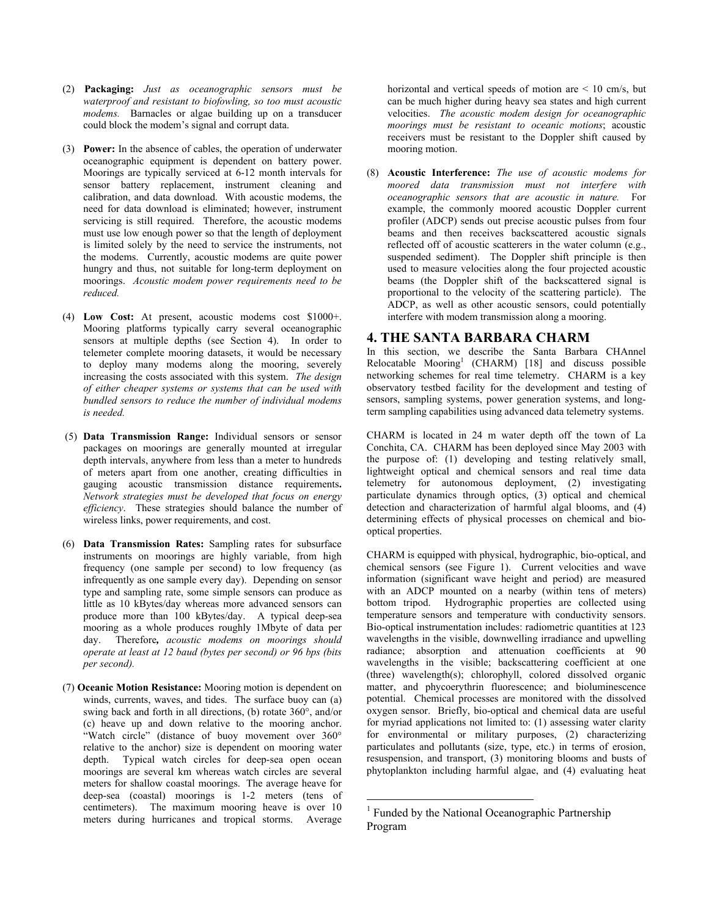- (2) **Packaging:** *Just as oceanographic sensors must be waterproof and resistant to biofowling, so too must acoustic modems.* Barnacles or algae building up on a transducer could block the modem's signal and corrupt data.
- (3) **Power:** In the absence of cables, the operation of underwater oceanographic equipment is dependent on battery power. Moorings are typically serviced at 6-12 month intervals for sensor battery replacement, instrument cleaning and calibration, and data download. With acoustic modems, the need for data download is eliminated; however, instrument servicing is still required. Therefore, the acoustic modems must use low enough power so that the length of deployment is limited solely by the need to service the instruments, not the modems. Currently, acoustic modems are quite power hungry and thus, not suitable for long-term deployment on moorings. *Acoustic modem power requirements need to be reduced.*
- (4) **Low Cost:** At present, acoustic modems cost \$1000+. Mooring platforms typically carry several oceanographic sensors at multiple depths (see Section 4). In order to telemeter complete mooring datasets, it would be necessary to deploy many modems along the mooring, severely increasing the costs associated with this system. *The design of either cheaper systems or systems that can be used with bundled sensors to reduce the number of individual modems is needed.*
- (5) **Data Transmission Range:** Individual sensors or sensor packages on moorings are generally mounted at irregular depth intervals, anywhere from less than a meter to hundreds of meters apart from one another, creating difficulties in gauging acoustic transmission distance requirements**.**  *Network strategies must be developed that focus on energy efficiency*. These strategies should balance the number of wireless links, power requirements, and cost.
- (6) **Data Transmission Rates:** Sampling rates for subsurface instruments on moorings are highly variable, from high frequency (one sample per second) to low frequency (as infrequently as one sample every day). Depending on sensor type and sampling rate, some simple sensors can produce as little as 10 kBytes/day whereas more advanced sensors can produce more than 100 kBytes/day. A typical deep-sea mooring as a whole produces roughly 1Mbyte of data per day. Therefore*, acoustic modems on moorings should operate at least at 12 baud (bytes per second) or 96 bps (bits per second).*
- (7) **Oceanic Motion Resistance:** Mooring motion is dependent on winds, currents, waves, and tides. The surface buoy can (a) swing back and forth in all directions, (b) rotate 360°, and/or (c) heave up and down relative to the mooring anchor. "Watch circle" (distance of buoy movement over 360° relative to the anchor) size is dependent on mooring water depth. Typical watch circles for deep-sea open ocean moorings are several km whereas watch circles are several meters for shallow coastal moorings. The average heave for deep-sea (coastal) moorings is 1-2 meters (tens of centimeters). The maximum mooring heave is over 10 meters during hurricanes and tropical storms. Average

horizontal and vertical speeds of motion are  $\leq 10$  cm/s, but can be much higher during heavy sea states and high current velocities. *The acoustic modem design for oceanographic moorings must be resistant to oceanic motions*; acoustic receivers must be resistant to the Doppler shift caused by mooring motion.

(8) **Acoustic Interference:** *The use of acoustic modems for moored data transmission must not interfere with oceanographic sensors that are acoustic in nature.* For example, the commonly moored acoustic Doppler current profiler (ADCP) sends out precise acoustic pulses from four beams and then receives backscattered acoustic signals reflected off of acoustic scatterers in the water column (e.g., suspended sediment). The Doppler shift principle is then used to measure velocities along the four projected acoustic beams (the Doppler shift of the backscattered signal is proportional to the velocity of the scattering particle). The ADCP, as well as other acoustic sensors, could potentially interfere with modem transmission along a mooring.

### **4. THE SANTA BARBARA CHARM**

In this section, we describe the Santa Barbara CHAnnel Relocatable Mooring<sup>1</sup> (CHARM) [18] and discuss possible networking schemes for real time telemetry. CHARM is a key observatory testbed facility for the development and testing of sensors, sampling systems, power generation systems, and longterm sampling capabilities using advanced data telemetry systems.

CHARM is located in 24 m water depth off the town of La Conchita, CA. CHARM has been deployed since May 2003 with the purpose of: (1) developing and testing relatively small, lightweight optical and chemical sensors and real time data telemetry for autonomous deployment, (2) investigating particulate dynamics through optics, (3) optical and chemical detection and characterization of harmful algal blooms, and (4) determining effects of physical processes on chemical and biooptical properties.

CHARM is equipped with physical, hydrographic, bio-optical, and chemical sensors (see Figure 1). Current velocities and wave information (significant wave height and period) are measured with an ADCP mounted on a nearby (within tens of meters) bottom tripod. Hydrographic properties are collected using temperature sensors and temperature with conductivity sensors. Bio-optical instrumentation includes: radiometric quantities at 123 wavelengths in the visible, downwelling irradiance and upwelling radiance; absorption and attenuation coefficients at 90 wavelengths in the visible; backscattering coefficient at one (three) wavelength(s); chlorophyll, colored dissolved organic matter, and phycoerythrin fluorescence; and bioluminescence potential. Chemical processes are monitored with the dissolved oxygen sensor. Briefly, bio-optical and chemical data are useful for myriad applications not limited to: (1) assessing water clarity for environmental or military purposes, (2) characterizing particulates and pollutants (size, type, etc.) in terms of erosion, resuspension, and transport, (3) monitoring blooms and busts of phytoplankton including harmful algae, and (4) evaluating heat

 $\overline{a}$ 

<sup>&</sup>lt;sup>1</sup> Funded by the National Oceanographic Partnership Program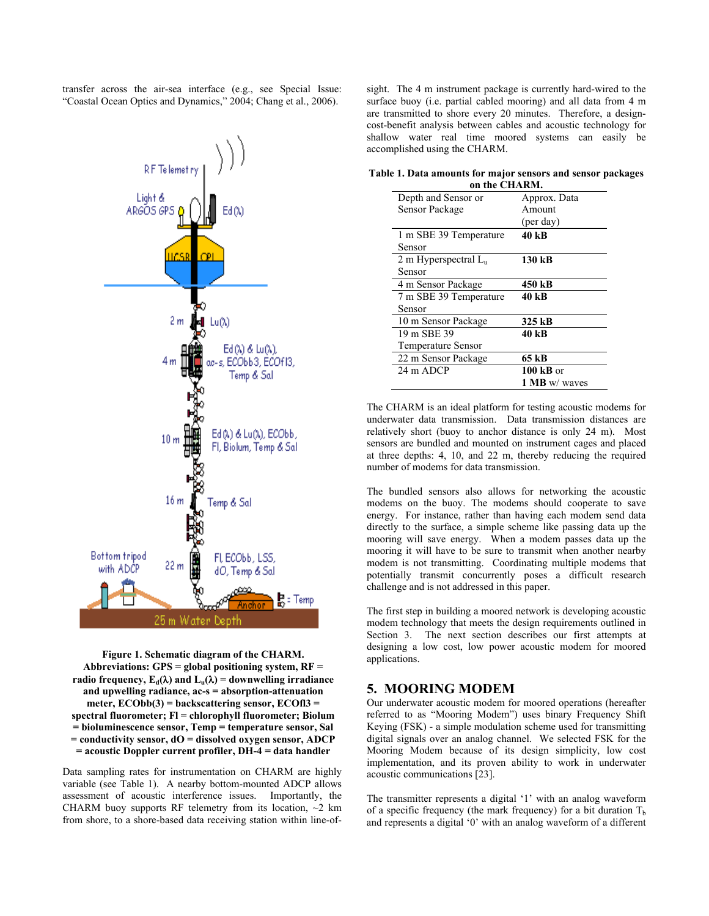transfer across the air-sea interface (e.g., see Special Issue: "Coastal Ocean Optics and Dynamics," 2004; Chang et al., 2006).



**Figure 1. Schematic diagram of the CHARM. Abbreviations: GPS = global positioning system, RF = radio frequency,**  $E_d(\lambda)$  **and**  $L_u(\lambda) =$  **downwelling irradiance and upwelling radiance, ac-s = absorption-attenuation meter, ECObb(3) = backscattering sensor, ECOfl3 = spectral fluorometer; Fl = chlorophyll fluorometer; Biolum = bioluminescence sensor, Temp = temperature sensor, Sal = conductivity sensor, dO = dissolved oxygen sensor, ADCP = acoustic Doppler current profiler, DH-4 = data handler** 

Data sampling rates for instrumentation on CHARM are highly variable (see Table 1). A nearby bottom-mounted ADCP allows assessment of acoustic interference issues. Importantly, the CHARM buoy supports RF telemetry from its location,  $\sim$ 2 km from shore, to a shore-based data receiving station within line-ofsight. The 4 m instrument package is currently hard-wired to the surface buoy (i.e. partial cabled mooring) and all data from 4 m are transmitted to shore every 20 minutes. Therefore, a designcost-benefit analysis between cables and acoustic technology for shallow water real time moored systems can easily be accomplished using the CHARM.

|  |  |               |  | Table 1. Data amounts for major sensors and sensor packages |
|--|--|---------------|--|-------------------------------------------------------------|
|  |  | on the CHARM. |  |                                                             |

| Depth and Sensor or       | Approx. Data |  |  |
|---------------------------|--------------|--|--|
| Sensor Package            | Amount       |  |  |
|                           | (per day)    |  |  |
| 1 m SBE 39 Temperature    | 40 kB        |  |  |
| Sensor                    |              |  |  |
| 2 m Hyperspectral $L_n$   | 130 kB       |  |  |
| Sensor                    |              |  |  |
| 4 m Sensor Package        | 450 kB       |  |  |
| 7 m SBE 39 Temperature    | 40 kB        |  |  |
| Sensor                    |              |  |  |
| 10 m Sensor Package       | 325 kB       |  |  |
| 19 m SBE 39               | 40 kB        |  |  |
| <b>Temperature Sensor</b> |              |  |  |
| 22 m Sensor Package       | 65 kB        |  |  |
| 24 m ADCP                 | $100$ kB or  |  |  |
|                           | 1 MB w/waves |  |  |
|                           |              |  |  |

The CHARM is an ideal platform for testing acoustic modems for underwater data transmission. Data transmission distances are relatively short (buoy to anchor distance is only 24 m). Most sensors are bundled and mounted on instrument cages and placed at three depths: 4, 10, and 22 m, thereby reducing the required number of modems for data transmission.

The bundled sensors also allows for networking the acoustic modems on the buoy. The modems should cooperate to save energy. For instance, rather than having each modem send data directly to the surface, a simple scheme like passing data up the mooring will save energy. When a modem passes data up the mooring it will have to be sure to transmit when another nearby modem is not transmitting. Coordinating multiple modems that potentially transmit concurrently poses a difficult research challenge and is not addressed in this paper.

The first step in building a moored network is developing acoustic modem technology that meets the design requirements outlined in Section 3. The next section describes our first attempts at designing a low cost, low power acoustic modem for moored applications.

## **5. MOORING MODEM**

Our underwater acoustic modem for moored operations (hereafter referred to as "Mooring Modem") uses binary Frequency Shift Keying (FSK) - a simple modulation scheme used for transmitting digital signals over an analog channel. We selected FSK for the Mooring Modem because of its design simplicity, low cost implementation, and its proven ability to work in underwater acoustic communications [23].

The transmitter represents a digital '1' with an analog waveform of a specific frequency (the mark frequency) for a bit duration  $T<sub>b</sub>$ and represents a digital '0' with an analog waveform of a different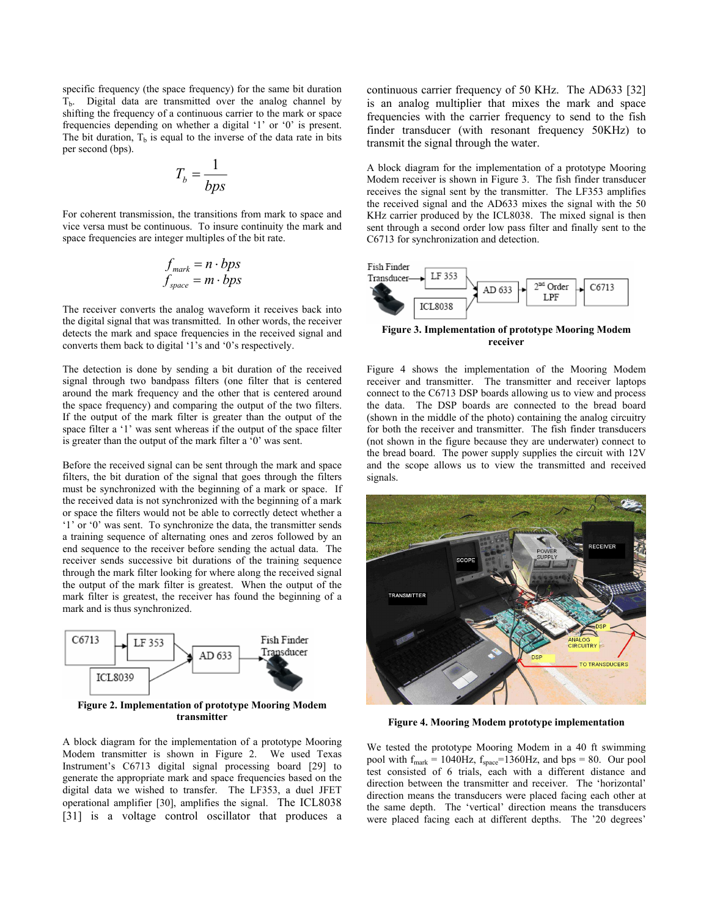specific frequency (the space frequency) for the same bit duration  $T<sub>b</sub>$ . Digital data are transmitted over the analog channel by shifting the frequency of a continuous carrier to the mark or space frequencies depending on whether a digital '1' or '0' is present. The bit duration,  $T<sub>b</sub>$  is equal to the inverse of the data rate in bits per second (bps).

$$
T_b = \frac{1}{bps}
$$

For coherent transmission, the transitions from mark to space and vice versa must be continuous. To insure continuity the mark and space frequencies are integer multiples of the bit rate.

$$
f_{\text{mark}} = n \cdot b \text{ps}
$$
  

$$
f_{\text{space}} = m \cdot b \text{ps}
$$

The receiver converts the analog waveform it receives back into the digital signal that was transmitted. In other words, the receiver detects the mark and space frequencies in the received signal and converts them back to digital '1's and '0's respectively.

The detection is done by sending a bit duration of the received signal through two bandpass filters (one filter that is centered around the mark frequency and the other that is centered around the space frequency) and comparing the output of the two filters. If the output of the mark filter is greater than the output of the space filter a '1' was sent whereas if the output of the space filter is greater than the output of the mark filter a '0' was sent.

Before the received signal can be sent through the mark and space filters, the bit duration of the signal that goes through the filters must be synchronized with the beginning of a mark or space. If the received data is not synchronized with the beginning of a mark or space the filters would not be able to correctly detect whether a '1' or '0' was sent. To synchronize the data, the transmitter sends a training sequence of alternating ones and zeros followed by an end sequence to the receiver before sending the actual data. The receiver sends successive bit durations of the training sequence through the mark filter looking for where along the received signal the output of the mark filter is greatest. When the output of the mark filter is greatest, the receiver has found the beginning of a mark and is thus synchronized.



A block diagram for the implementation of a prototype Mooring Modem transmitter is shown in Figure 2. We used Texas Instrument's C6713 digital signal processing board [29] to generate the appropriate mark and space frequencies based on the digital data we wished to transfer. The LF353, a duel JFET operational amplifier [30], amplifies the signal. The ICL8038 [31] is a voltage control oscillator that produces a continuous carrier frequency of 50 KHz. The AD633 [32] is an analog multiplier that mixes the mark and space frequencies with the carrier frequency to send to the fish finder transducer (with resonant frequency 50KHz) to transmit the signal through the water.

A block diagram for the implementation of a prototype Mooring Modem receiver is shown in Figure 3. The fish finder transducer receives the signal sent by the transmitter. The LF353 amplifies the received signal and the AD633 mixes the signal with the 50 KHz carrier produced by the ICL8038. The mixed signal is then sent through a second order low pass filter and finally sent to the C6713 for synchronization and detection.



**Figure 3. Implementation of prototype Mooring Modem receiver** 

Figure 4 shows the implementation of the Mooring Modem receiver and transmitter. The transmitter and receiver laptops connect to the C6713 DSP boards allowing us to view and process the data. The DSP boards are connected to the bread board (shown in the middle of the photo) containing the analog circuitry for both the receiver and transmitter. The fish finder transducers (not shown in the figure because they are underwater) connect to the bread board. The power supply supplies the circuit with 12V and the scope allows us to view the transmitted and received signals.



**Figure 4. Mooring Modem prototype implementation**

We tested the prototype Mooring Modem in a 40 ft swimming pool with  $f_{\text{mark}} = 1040$ Hz,  $f_{\text{space}} = 1360$ Hz, and bps = 80. Our pool test consisted of 6 trials, each with a different distance and direction between the transmitter and receiver. The 'horizontal' direction means the transducers were placed facing each other at the same depth. The 'vertical' direction means the transducers were placed facing each at different depths. The '20 degrees'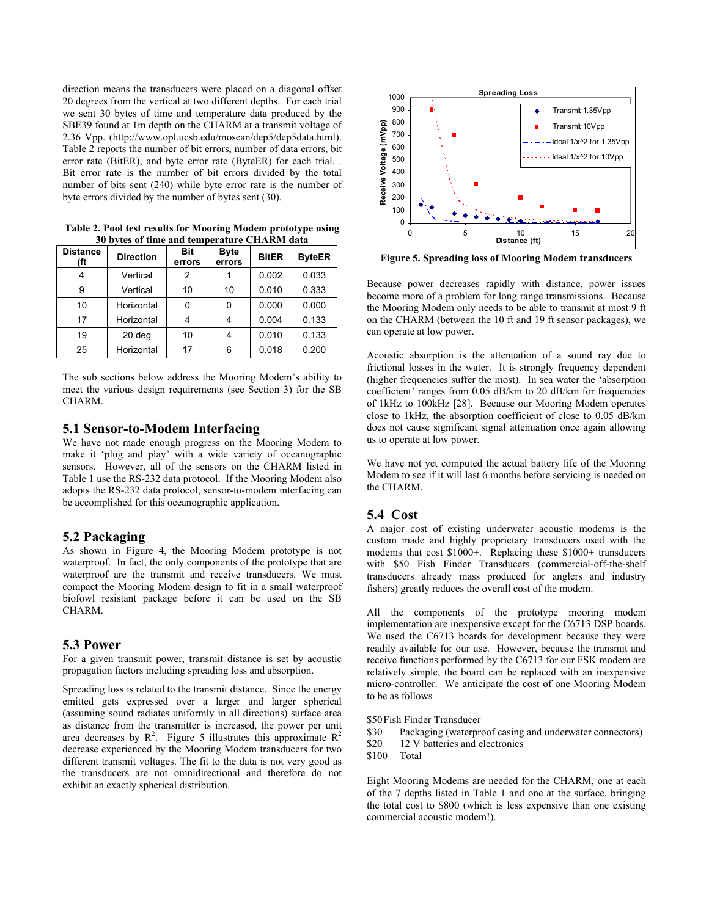direction means the transducers were placed on a diagonal offset 20 degrees from the vertical at two different depths. For each trial we sent 30 bytes of time and temperature data produced by the SBE39 found at 1m depth on the CHARM at a transmit voltage of 2.36 Vpp. (http://www.opl.ucsb.edu/mosean/dep5/dep5data.html). Table 2 reports the number of bit errors, number of data errors, bit error rate (BitER), and byte error rate (ByteER) for each trial. . Bit error rate is the number of bit errors divided by the total number of bits sent (240) while byte error rate is the number of byte errors divided by the number of bytes sent (30).

| <b>Distance</b><br>(ft | <b>Direction</b> | Bit<br>errors | <b>Byte</b><br>errors | <b>BitER</b> | <b>ByteER</b> |
|------------------------|------------------|---------------|-----------------------|--------------|---------------|
|                        | Vertical         | 2             |                       | 0.002        | 0.033         |
| 9                      | Vertical         | 10            | 10                    | 0.010        | 0.333         |
| 10                     | Horizontal       | 0             |                       | 0.000        | 0.000         |
| 17                     | Horizontal       |               |                       | 0.004        | 0.133         |
| 19                     | 20 deg           | 10            |                       | 0.010        | 0.133         |
| 25                     | Horizontal       | 17            | 6                     | 0.018        | 0.200         |

**Table 2. Pool test results for Mooring Modem prototype using 30 bytes of time and temperature CHARM data**

The sub sections below address the Mooring Modem's ability to meet the various design requirements (see Section 3) for the SB CHARM.

#### **5.1 Sensor-to-Modem Interfacing**

We have not made enough progress on the Mooring Modem to make it 'plug and play' with a wide variety of oceanographic sensors. However, all of the sensors on the CHARM listed in Table 1 use the RS-232 data protocol. If the Mooring Modem also adopts the RS-232 data protocol, sensor-to-modem interfacing can be accomplished for this oceanographic application.

#### **5.2 Packaging**

As shown in Figure 4, the Mooring Modem prototype is not waterproof. In fact, the only components of the prototype that are waterproof are the transmit and receive transducers. We must compact the Mooring Modem design to fit in a small waterproof biofowl resistant package before it can be used on the SB CHARM.

## **5.3 Power**

For a given transmit power, transmit distance is set by acoustic propagation factors including spreading loss and absorption.

Spreading loss is related to the transmit distance. Since the energy emitted gets expressed over a larger and larger spherical (assuming sound radiates uniformly in all directions) surface area as distance from the transmitter is increased, the power per unit area decreases by  $R^2$ . Figure 5 illustrates this approximate  $R^2$ decrease experienced by the Mooring Modem transducers for two different transmit voltages. The fit to the data is not very good as the transducers are not omnidirectional and therefore do not exhibit an exactly spherical distribution.



**Figure 5. Spreading loss of Mooring Modem transducers**

Because power decreases rapidly with distance, power issues become more of a problem for long range transmissions. Because the Mooring Modem only needs to be able to transmit at most 9 ft on the CHARM (between the 10 ft and 19 ft sensor packages), we can operate at low power.

Acoustic absorption is the attenuation of a sound ray due to frictional losses in the water. It is strongly frequency dependent (higher frequencies suffer the most). In sea water the 'absorption coefficient' ranges from 0.05 dB/km to 20 dB/km for frequencies of 1kHz to 100kHz [28]. Because our Mooring Modem operates close to 1kHz, the absorption coefficient of close to 0.05 dB/km does not cause significant signal attenuation once again allowing us to operate at low power.

We have not yet computed the actual battery life of the Mooring Modem to see if it will last 6 months before servicing is needed on the CHARM.

#### **5.4 Cost**

A major cost of existing underwater acoustic modems is the custom made and highly proprietary transducers used with the modems that cost \$1000+. Replacing these \$1000+ transducers with \$50 Fish Finder Transducers (commercial-off-the-shelf transducers already mass produced for anglers and industry fishers) greatly reduces the overall cost of the modem.

All the components of the prototype mooring modem implementation are inexpensive except for the C6713 DSP boards. We used the C6713 boards for development because they were readily available for our use. However, because the transmit and receive functions performed by the C6713 for our FSK modem are relatively simple, the board can be replaced with an inexpensive micro-controller. We anticipate the cost of one Mooring Modem to be as follows

\$50 Fish Finder Transducer

\$30 Packaging (waterproof casing and underwater connectors)  $\frac{$20}{12}$  V batteries and electronics<br> $\frac{$100}{100}$  Total

Total

Eight Mooring Modems are needed for the CHARM, one at each of the 7 depths listed in Table 1 and one at the surface, bringing the total cost to \$800 (which is less expensive than one existing commercial acoustic modem!).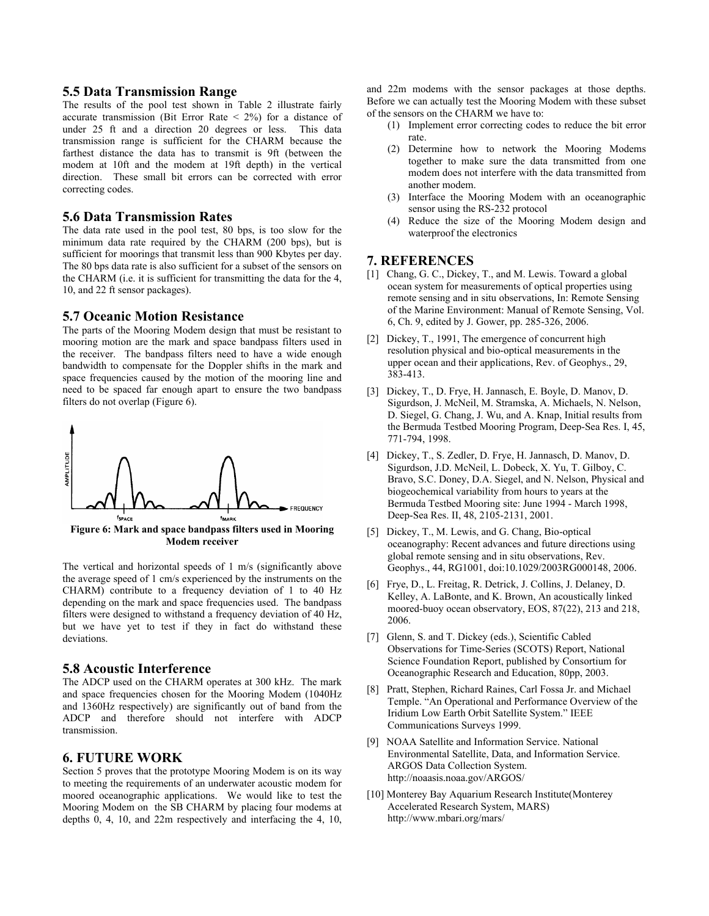#### **5.5 Data Transmission Range**

The results of the pool test shown in Table 2 illustrate fairly accurate transmission (Bit Error Rate  $\leq$  2%) for a distance of under 25 ft and a direction 20 degrees or less. This data transmission range is sufficient for the CHARM because the farthest distance the data has to transmit is 9ft (between the modem at 10ft and the modem at 19ft depth) in the vertical direction. These small bit errors can be corrected with error correcting codes.

#### **5.6 Data Transmission Rates**

The data rate used in the pool test, 80 bps, is too slow for the minimum data rate required by the CHARM (200 bps), but is sufficient for moorings that transmit less than 900 Kbytes per day. The 80 bps data rate is also sufficient for a subset of the sensors on the CHARM (i.e. it is sufficient for transmitting the data for the 4, 10, and 22 ft sensor packages).

#### **5.7 Oceanic Motion Resistance**

The parts of the Mooring Modem design that must be resistant to mooring motion are the mark and space bandpass filters used in the receiver. The bandpass filters need to have a wide enough bandwidth to compensate for the Doppler shifts in the mark and space frequencies caused by the motion of the mooring line and need to be spaced far enough apart to ensure the two bandpass filters do not overlap (Figure 6).



The vertical and horizontal speeds of 1 m/s (significantly above the average speed of 1 cm/s experienced by the instruments on the CHARM) contribute to a frequency deviation of 1 to 40 Hz depending on the mark and space frequencies used. The bandpass filters were designed to withstand a frequency deviation of 40 Hz, but we have yet to test if they in fact do withstand these deviations.

#### **5.8 Acoustic Interference**

The ADCP used on the CHARM operates at 300 kHz. The mark and space frequencies chosen for the Mooring Modem (1040Hz and 1360Hz respectively) are significantly out of band from the ADCP and therefore should not interfere with ADCP transmission.

## **6. FUTURE WORK**

Section 5 proves that the prototype Mooring Modem is on its way to meeting the requirements of an underwater acoustic modem for moored oceanographic applications. We would like to test the Mooring Modem on the SB CHARM by placing four modems at depths 0, 4, 10, and 22m respectively and interfacing the 4, 10, and 22m modems with the sensor packages at those depths. Before we can actually test the Mooring Modem with these subset of the sensors on the CHARM we have to:

- (1) Implement error correcting codes to reduce the bit error rate.
- (2) Determine how to network the Mooring Modems together to make sure the data transmitted from one modem does not interfere with the data transmitted from another modem.
- (3) Interface the Mooring Modem with an oceanographic sensor using the RS-232 protocol
- (4) Reduce the size of the Mooring Modem design and waterproof the electronics

## **7. REFERENCES**

- [1] Chang, G. C., Dickey, T., and M. Lewis. Toward a global ocean system for measurements of optical properties using remote sensing and in situ observations, In: Remote Sensing of the Marine Environment: Manual of Remote Sensing, Vol. 6, Ch. 9, edited by J. Gower, pp. 285-326, 2006.
- [2] Dickey, T., 1991, The emergence of concurrent high resolution physical and bio-optical measurements in the upper ocean and their applications, Rev. of Geophys., 29, 383-413.
- [3] Dickey, T., D. Frye, H. Jannasch, E. Boyle, D. Manov, D. Sigurdson, J. McNeil, M. Stramska, A. Michaels, N. Nelson, D. Siegel, G. Chang, J. Wu, and A. Knap, Initial results from the Bermuda Testbed Mooring Program, Deep-Sea Res. I, 45, 771-794, 1998.
- [4] Dickey, T., S. Zedler, D. Frye, H. Jannasch, D. Manov, D. Sigurdson, J.D. McNeil, L. Dobeck, X. Yu, T. Gilboy, C. Bravo, S.C. Doney, D.A. Siegel, and N. Nelson, Physical and biogeochemical variability from hours to years at the Bermuda Testbed Mooring site: June 1994 - March 1998, Deep-Sea Res. II, 48, 2105-2131, 2001.
- [5] Dickey, T., M. Lewis, and G. Chang, Bio-optical oceanography: Recent advances and future directions using global remote sensing and in situ observations, Rev. Geophys., 44, RG1001, doi:10.1029/2003RG000148, 2006.
- [6] Frye, D., L. Freitag, R. Detrick, J. Collins, J. Delaney, D. Kelley, A. LaBonte, and K. Brown, An acoustically linked moored-buoy ocean observatory, EOS, 87(22), 213 and 218, 2006.
- [7] Glenn, S. and T. Dickey (eds.), Scientific Cabled Observations for Time-Series (SCOTS) Report, National Science Foundation Report, published by Consortium for Oceanographic Research and Education, 80pp, 2003.
- [8] Pratt, Stephen, Richard Raines, Carl Fossa Jr. and Michael Temple. "An Operational and Performance Overview of the Iridium Low Earth Orbit Satellite System." IEEE Communications Surveys 1999.
- [9] NOAA Satellite and Information Service. National Environmental Satellite, Data, and Information Service. ARGOS Data Collection System. http://noaasis.noaa.gov/ARGOS/
- [10] Monterey Bay Aquarium Research Institute(Monterey Accelerated Research System, MARS) http://www.mbari.org/mars/